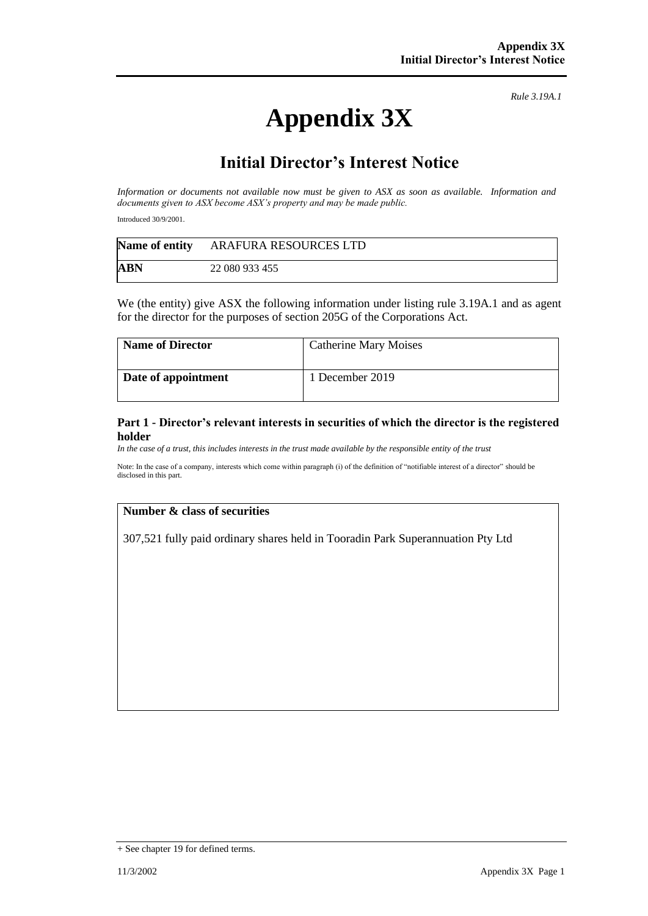# **Appendix 3X**

*Rule 3.19A.1*

## **Initial Director's Interest Notice**

*Information or documents not available now must be given to ASX as soon as available. Information and documents given to ASX become ASX's property and may be made public.*

Introduced 30/9/2001.

| Name of entity | ARAFURA RESOURCES LTD |
|----------------|-----------------------|
| ABN            | 22 080 933 455        |

We (the entity) give ASX the following information under listing rule 3.19A.1 and as agent for the director for the purposes of section 205G of the Corporations Act.

| <b>Name of Director</b> | <b>Catherine Mary Moises</b> |
|-------------------------|------------------------------|
| Date of appointment     | 1 December 2019              |

#### **Part 1 - Director's relevant interests in securities of which the director is the registered holder**

In the case of a trust, this includes interests in the trust made available by the responsible entity of the trust

Note: In the case of a company, interests which come within paragraph (i) of the definition of "notifiable interest of a director" should be disclosed in this part.

#### **Number & class of securities**

307,521 fully paid ordinary shares held in Tooradin Park Superannuation Pty Ltd

<sup>+</sup> See chapter 19 for defined terms.